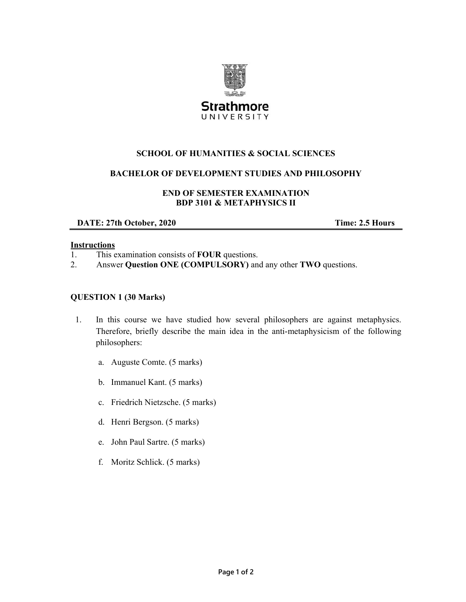

# **SCHOOL OF HUMANITIES & SOCIAL SCIENCES**

### **BACHELOR OF DEVELOPMENT STUDIES AND PHILOSOPHY**

### **END OF SEMESTER EXAMINATION BDP 3101 & METAPHYSICS II**

**DATE: 27th October, 2020** Time: 2.5 Hours

#### **Instructions**

- 1. This examination consists of **FOUR** questions.
- 2. Answer **Question ONE (COMPULSORY)** and any other **TWO** questions.

#### **QUESTION 1 (30 Marks)**

- 1. In this course we have studied how several philosophers are against metaphysics. Therefore, briefly describe the main idea in the anti-metaphysicism of the following philosophers:
	- a. Auguste Comte. (5 marks)
	- b. Immanuel Kant. (5 marks)
	- c. Friedrich Nietzsche. (5 marks)
	- d. Henri Bergson. (5 marks)
	- e. John Paul Sartre. (5 marks)
	- f. Moritz Schlick. (5 marks)